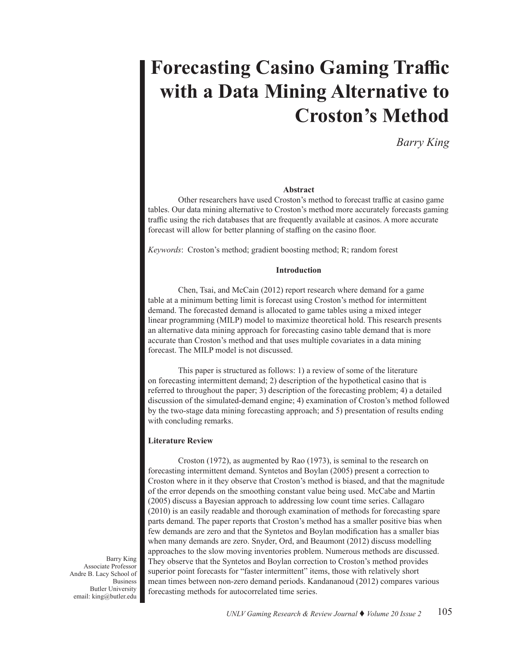# **Forecasting Casino Gaming Traffic with a Data Mining Alternative to Croston's Method**

*Barry King*

#### **Abstract**

Other researchers have used Croston's method to forecast traffic at casino game tables. Our data mining alternative to Croston's method more accurately forecasts gaming traffic using the rich databases that are frequently available at casinos. A more accurate forecast will allow for better planning of staffing on the casino floor.

*Keywords*: Croston's method; gradient boosting method; R; random forest

#### **Introduction**

Chen, Tsai, and McCain (2012) report research where demand for a game table at a minimum betting limit is forecast using Croston's method for intermittent demand. The forecasted demand is allocated to game tables using a mixed integer linear programming (MILP) model to maximize theoretical hold. This research presents an alternative data mining approach for forecasting casino table demand that is more accurate than Croston's method and that uses multiple covariates in a data mining forecast. The MILP model is not discussed.

This paper is structured as follows: 1) a review of some of the literature on forecasting intermittent demand; 2) description of the hypothetical casino that is referred to throughout the paper; 3) description of the forecasting problem; 4) a detailed discussion of the simulated-demand engine; 4) examination of Croston's method followed by the two-stage data mining forecasting approach; and 5) presentation of results ending with concluding remarks.

## **Literature Review**

Croston (1972), as augmented by Rao (1973), is seminal to the research on forecasting intermittent demand. Syntetos and Boylan (2005) present a correction to Croston where in it they observe that Croston's method is biased, and that the magnitude of the error depends on the smoothing constant value being used. McCabe and Martin (2005) discuss a Bayesian approach to addressing low count time series. Callagaro (2010) is an easily readable and thorough examination of methods for forecasting spare parts demand. The paper reports that Croston's method has a smaller positive bias when few demands are zero and that the Syntetos and Boylan modification has a smaller bias when many demands are zero. Snyder, Ord, and Beaumont (2012) discuss modelling approaches to the slow moving inventories problem. Numerous methods are discussed. They observe that the Syntetos and Boylan correction to Croston's method provides superior point forecasts for "faster intermittent" items, those with relatively short mean times between non-zero demand periods. Kandananoud (2012) compares various forecasting methods for autocorrelated time series.

Barry King Associate Professor Andre B. Lacy School of Business Butler University email: king@butler.edu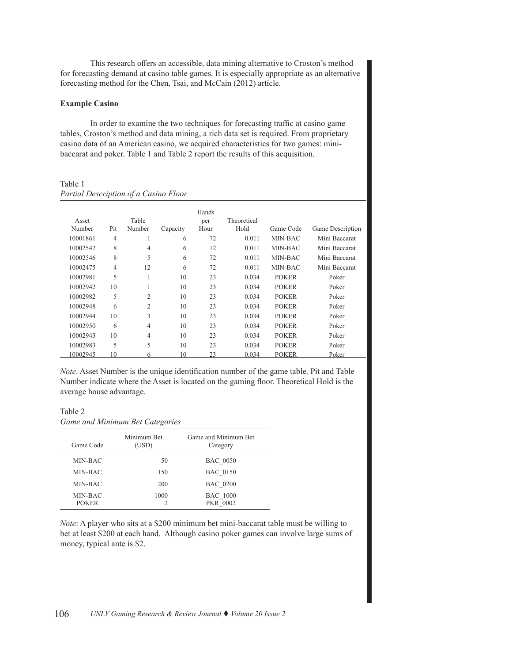This research offers an accessible, data mining alternative to Croston's method for forecasting demand at casino table games. It is especially appropriate as an alternative forecasting method for the Chen, Tsai, and McCain (2012) article.

## **Example Casino**

In order to examine the two techniques for forecasting traffic at casino game tables, Croston's method and data mining, a rich data set is required. From proprietary casino data of an American casino, we acquired characteristics for two games: minibaccarat and poker. Table 1 and Table 2 report the results of this acquisition.

Table 1 *Partial Description of a Casino Floor*

| Asset    |                | Table          |          | Hands<br>per | Theoretical |              |                         |
|----------|----------------|----------------|----------|--------------|-------------|--------------|-------------------------|
| Number   | Pit            | <u>Number</u>  | Capacity | Hour         | Hold        | Game Code    | <b>Game Description</b> |
| 10001861 | $\overline{4}$ |                | 6        | 72           | 0.011       | MIN-BAC      | Mini Baccarat           |
| 10002542 | 8              | $\overline{4}$ | 6        | 72           | 0.011       | MIN-BAC      | Mini Baccarat           |
| 10002546 | 8              | 5              | 6        | 72           | 0.011       | MIN-BAC      | Mini Baccarat           |
| 10002475 | $\overline{4}$ | 12             | 6        | 72           | 0.011       | MIN-BAC      | Mini Baccarat           |
| 10002981 | 5              | 1              | 10       | 23           | 0.034       | <b>POKER</b> | Poker                   |
| 10002942 | 10             |                | 10       | 23           | 0.034       | <b>POKER</b> | Poker                   |
| 10002982 | 5              | 2              | 10       | 23           | 0.034       | <b>POKER</b> | Poker                   |
| 10002948 | 6              | 2              | 10       | 23           | 0.034       | <b>POKER</b> | Poker                   |
| 10002944 | 10             | 3              | 10       | 23           | 0.034       | <b>POKER</b> | Poker                   |
| 10002950 | 6              | $\overline{4}$ | 10       | 23           | 0.034       | <b>POKER</b> | Poker                   |
| 10002943 | 10             | $\overline{4}$ | 10       | 23           | 0.034       | <b>POKER</b> | Poker                   |
| 10002983 | 5              | 5              | 10       | 23           | 0.034       | <b>POKER</b> | Poker                   |
| 0002945  | 1 <sub>0</sub> |                | 10       | 23           | 0.034       | <b>POKER</b> | Poker                   |

*Note*. Asset Number is the unique identification number of the game table. Pit and Table Number indicate where the Asset is located on the gaming floor. Theoretical Hold is the average house advantage.

Table 2

| Game and Minimum Bet Categories |                      |                                    |  |  |  |  |  |  |  |
|---------------------------------|----------------------|------------------------------------|--|--|--|--|--|--|--|
| Game Code                       | Minimum Bet<br>(USD) | Game and Minimum Bet<br>Category   |  |  |  |  |  |  |  |
| MIN-BAC                         | 50                   | <b>BAC 0050</b>                    |  |  |  |  |  |  |  |
| MIN-BAC                         | 150                  | <b>BAC 0150</b>                    |  |  |  |  |  |  |  |
| MIN-BAC                         | 200                  | <b>BAC 0200</b>                    |  |  |  |  |  |  |  |
| MIN-BAC<br><b>POKER</b>         | 1000<br>2            | <b>BAC</b> 1000<br><b>PKR 0002</b> |  |  |  |  |  |  |  |

*Note*: A player who sits at a \$200 minimum bet mini-baccarat table must be willing to bet at least \$200 at each hand. Although casino poker games can involve large sums of money, typical ante is \$2.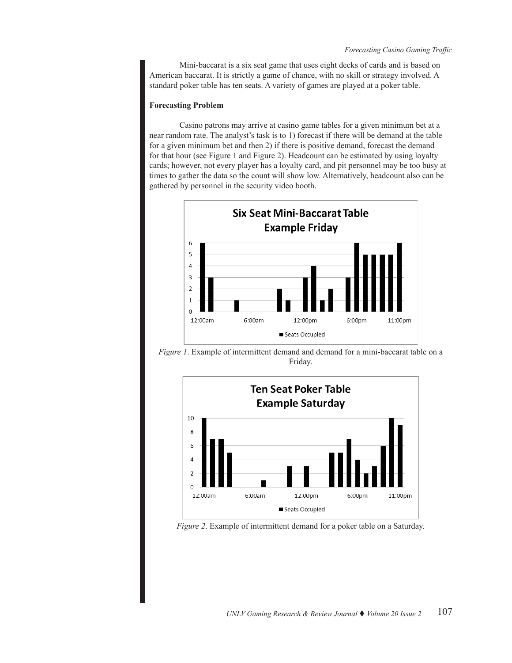Mini-baccarat is a six seat game that uses eight decks of cards and is based on American baccarat. It is strictly a game of chance, with no skill or strategy involved. A standard poker table has ten seats. A variety of games are played at a poker table.

# **Forecasting Problem**

Casino patrons may arrive at casino game tables for a given minimum bet at a near random rate. The analyst's task is to 1) forecast if there will be demand at the table for a given minimum bet and then 2) if there is positive demand, forecast the demand for that hour (see Figure 1 and Figure 2). Headcount can be estimated by using loyalty cards; however, not every player has a loyalty card, and pit personnel may be too busy at times to gather the data so the count will show low. Alternatively, headcount also can be gathered by personnel in the security video booth.



*Figure 1*. Example of intermittent demand and demand for a mini-baccarat table on a Friday.



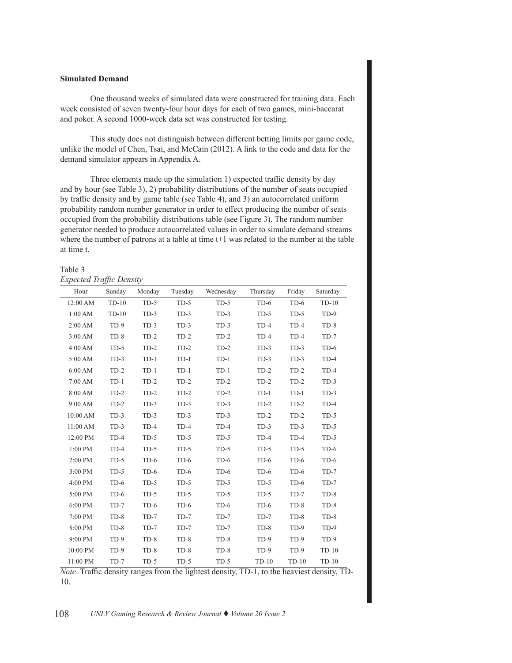# **Simulated Demand**

One thousand weeks of simulated data were constructed for training data. Each week consisted of seven twenty-four hour days for each of two games, mini-baccarat and poker. A second 1000-week data set was constructed for testing.

This study does not distinguish between different betting limits per game code, unlike the model of Chen, Tsai, and McCain (2012). A link to the code and data for the demand simulator appears in Appendix A.

Three elements made up the simulation 1) expected traffic density by day and by hour (see Table 3), 2) probability distributions of the number of seats occupied by traffic density and by game table (see Table 4), and 3) an autocorrelated uniform probability random number generator in order to effect producing the number of seats occupied from the probability distributions table (see Figure 3). The random number generator needed to produce autocorrelated values in order to simulate demand streams where the number of patrons at a table at time t+1 was related to the number at the table at time t.

## Table 3 *Expected Traffic Density*

| Hour      | Sunday  | Monday | Tuesday | Wednesday | Thursday | Friday  | Saturday |
|-----------|---------|--------|---------|-----------|----------|---------|----------|
| 12:00 AM  | $TD-10$ | $TD-5$ | $TD-5$  | $TD-5$    | $TD-6$   | $TD-6$  | $TD-10$  |
| 1:00 AM   | $TD-10$ | $TD-3$ | $TD-3$  | $TD-3$    | $TD-5$   | $TD-5$  | $TD-9$   |
| 2:00 AM   | $TD-9$  | $TD-3$ | $TD-3$  | $TD-3$    | $TD-4$   | $TD-4$  | $TD-8$   |
| 3:00 AM   | $TD-8$  | $TD-2$ | $TD-2$  | $TD-2$    | $TD-4$   | $TD-4$  | $TD-7$   |
| 4:00 AM   | $TD-5$  | $TD-2$ | $TD-2$  | $TD-2$    | $TD-3$   | $TD-3$  | $TD-6$   |
| 5:00 AM   | $TD-3$  | $TD-1$ | $TD-1$  | $TD-1$    | $TD-3$   | $TD-3$  | $TD-4$   |
| 6:00 AM   | $TD-2$  | $TD-1$ | $TD-1$  | $TD-1$    | $TD-2$   | $TD-2$  | $TD-4$   |
| 7:00 AM   | $TD-1$  | $TD-2$ | $TD-2$  | $TD-2$    | $TD-2$   | $TD-2$  | $TD-3$   |
| 8:00 AM   | $TD-2$  | $TD-2$ | $TD-2$  | $TD-2$    | $TD-1$   | $TD-1$  | $TD-3$   |
| 9:00 AM   | $TD-2$  | $TD-3$ | $TD-3$  | $TD-3$    | $TD-2$   | $TD-2$  | $TD-4$   |
| 10:00 AM  | $TD-3$  | $TD-3$ | $TD-3$  | $TD-3$    | $TD-2$   | $TD-2$  | $TD-5$   |
| 11:00 AM  | $TD-3$  | $TD-4$ | $TD-4$  | $TD-4$    | $TD-3$   | $TD-3$  | $TD-5$   |
| 12:00 PM  | $TD-4$  | $TD-5$ | $TD-5$  | $TD-5$    | $TD-4$   | $TD-4$  | $TD-5$   |
| 1:00 PM   | $TD-4$  | $TD-5$ | $TD-5$  | $TD-5$    | $TD-5$   | $TD-5$  | $TD-6$   |
| $2:00$ PM | $TD-5$  | $TD-6$ | $TD-6$  | $TD-6$    | $TD-6$   | $TD-6$  | $TD-6$   |
| $3:00$ PM | $TD-5$  | $TD-6$ | $TD-6$  | $TD-6$    | $TD-6$   | $TD-6$  | $TD-7$   |
| $4:00$ PM | $TD-6$  | $TD-5$ | $TD-5$  | $TD-5$    | $TD-5$   | $TD-6$  | $TD-7$   |
| 5:00 PM   | $TD-6$  | $TD-5$ | $TD-5$  | $TD-5$    | $TD-5$   | $TD-7$  | $TD-8$   |
| 6:00 PM   | $TD-7$  | $TD-6$ | $TD-6$  | $TD-6$    | $TD-6$   | $TD-8$  | $TD-8$   |
| 7:00 PM   | $TD-8$  | $TD-7$ | $TD-7$  | $TD-7$    | $TD-7$   | $TD-8$  | $TD-8$   |
| 8:00 PM   | $TD-8$  | $TD-7$ | $TD-7$  | $TD-7$    | $TD-8$   | $TD-9$  | $TD-9$   |
| 9:00 PM   | $TD-9$  | $TD-8$ | $TD-8$  | $TD-8$    | $TD-9$   | $TD-9$  | $TD-9$   |
| 10:00 PM  | $TD-9$  | $TD-8$ | $TD-8$  | $TD-8$    | $TD-9$   | $TD-9$  | $TD-10$  |
| 11:00 PM  | $TD-7$  | $TD-5$ | $TD-5$  | $TD-5$    | $TD-10$  | $TD-10$ | $TD-10$  |

*Note*. Traffic density ranges from the lightest density, TD-1, to the heaviest density, TD-10.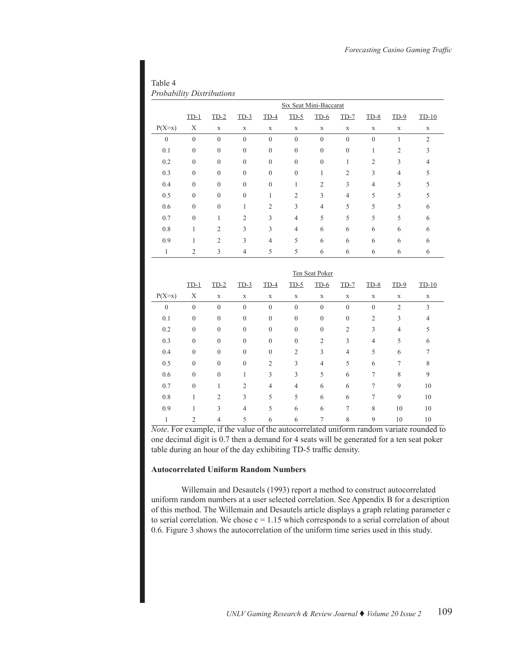| Table 4 |                                  |
|---------|----------------------------------|
|         | <b>Probability Distributions</b> |

|                  |                | Six Seat Mini-Baccarat |                |                |                |                |                  |                |                |                |
|------------------|----------------|------------------------|----------------|----------------|----------------|----------------|------------------|----------------|----------------|----------------|
|                  | $TD-1$         | $TD-2$                 | $TD-3$         | TD-4           | $TD-5$         | $TD-6$         | $TD-7$           | $TD-8$         | $TD-9$         | $TD-10$        |
| $P(X=x)$         | X              | X                      | $\mathbf X$    | X              | X              | X              | X                | X              | X              | $\mathbf X$    |
| $\boldsymbol{0}$ | $\mathbf{0}$   | $\overline{0}$         | $\overline{0}$ | $\overline{0}$ | $\mathbf{0}$   | $\mathbf{0}$   | $\boldsymbol{0}$ | $\overline{0}$ |                | $\overline{2}$ |
| 0.1              | $\theta$       | $\theta$               | $\mathbf{0}$   | $\theta$       | $\theta$       | $\theta$       | $\mathbf{0}$     | 1              | $\overline{2}$ | 3              |
| 0.2              | $\mathbf{0}$   | $\mathbf{0}$           | $\mathbf{0}$   | $\mathbf{0}$   | $\mathbf{0}$   | $\mathbf{0}$   | 1                | $\overline{2}$ | 3              | $\overline{4}$ |
| 0.3              | $\theta$       | $\theta$               | $\overline{0}$ | $\mathbf{0}$   | $\mathbf{0}$   | 1              | $\overline{2}$   | 3              | 4              | 5              |
| 0.4              | $\theta$       | $\theta$               | $\mathbf{0}$   | $\theta$       | 1              | $\overline{c}$ | 3                | $\overline{4}$ | 5              | 5              |
| 0.5              | $\theta$       | $\theta$               | $\overline{0}$ | 1              | $\overline{2}$ | 3              | $\overline{4}$   | 5              | 5              | 5              |
| 0.6              | $\theta$       | $\theta$               | 1              | $\overline{c}$ | 3              | $\overline{4}$ | 5                | 5              | 5              | 6              |
| 0.7              | $\theta$       | 1                      | $\overline{2}$ | 3              | $\overline{4}$ | 5              | 5                | 5              | 5              | 6              |
| 0.8              | 1              | $\overline{2}$         | 3              | 3              | $\overline{4}$ | 6              | 6                | 6              | 6              | 6              |
| 0.9              | ı              | $\overline{2}$         | 3              | $\overline{4}$ | 5              | 6              | 6                | 6              | 6              | 6              |
| 1                | $\overline{2}$ | 3                      | 4              | 5              | 5              | 6              | 6                | 6              | 6              | 6              |

|                  | Ten Seat Poker |                |                  |                |                |                |                  |                |                |             |
|------------------|----------------|----------------|------------------|----------------|----------------|----------------|------------------|----------------|----------------|-------------|
|                  | $TD-1$         | $TD-2$         | $TD-3$           | $TD-4$         | $TD-5$         | $TD-6$         | $TD-7$           | $TD-8$         | $TD-9$         | $TD-10$     |
| $P(X=x)$         | Χ              | $\mathbf X$    | $\mathbf X$      | X              | X              | $\mathbf X$    | $\mathbf X$      | $\mathbf X$    | X              | $\mathbf X$ |
| $\boldsymbol{0}$ | $\theta$       | $\mathbf{0}$   | $\boldsymbol{0}$ | $\theta$       | $\theta$       | $\mathbf{0}$   | $\mathbf{0}$     | $\theta$       | $\overline{2}$ | 3           |
| 0.1              | $\theta$       | $\mathbf{0}$   | $\boldsymbol{0}$ | $\theta$       | $\theta$       | $\mathbf{0}$   | $\boldsymbol{0}$ | $\overline{2}$ | 3              | 4           |
| 0.2              | $\theta$       | $\mathbf{0}$   | $\mathbf{0}$     | $\theta$       | $\theta$       | $\theta$       | $\overline{2}$   | 3              | 4              | 5           |
| 0.3              | $\theta$       | $\mathbf{0}$   | $\mathbf{0}$     | $\theta$       | $\theta$       | $\overline{2}$ | 3                | 4              | 5              | 6           |
| 0.4              | $\theta$       | $\mathbf{0}$   | $\mathbf{0}$     | $\theta$       | $\overline{2}$ | 3              | $\overline{4}$   | 5              | 6              | 7           |
| 0.5              | $\theta$       | $\mathbf{0}$   | $\boldsymbol{0}$ | $\overline{2}$ | 3              | 4              | 5                | 6              | 7              | 8           |
| 0.6              | $\theta$       | $\mathbf{0}$   | 1                | 3              | 3              | 5              | 6                | 7              | 8              | 9           |
| 0.7              | $\theta$       | 1              | $\overline{2}$   | $\overline{4}$ | $\overline{4}$ | 6              | 6                | 7              | 9              | 10          |
| 0.8              | 1              | $\overline{2}$ | 3                | 5              | 5              | 6              | 6                | 7              | 9              | 10          |
| 0.9              |                | 3              | $\overline{4}$   | 5              | 6              | 6              | 7                | 8              | 10             | 10          |
| 1                | 2              | 4              | 5                | 6              | 6              | 7              | 8                | 9              | 10             | 10          |

*Note*. For example, if the value of the autocorrelated uniform random variate rounded to one decimal digit is 0.7 then a demand for 4 seats will be generated for a ten seat poker table during an hour of the day exhibiting TD-5 traffic density.

# **Autocorrelated Uniform Random Numbers**

Willemain and Desautels (1993) report a method to construct autocorrelated uniform random numbers at a user selected correlation. See Appendix B for a description of this method. The Willemain and Desautels article displays a graph relating parameter c to serial correlation. We chose  $c = 1.15$  which corresponds to a serial correlation of about 0.6. Figure 3 shows the autocorrelation of the uniform time series used in this study.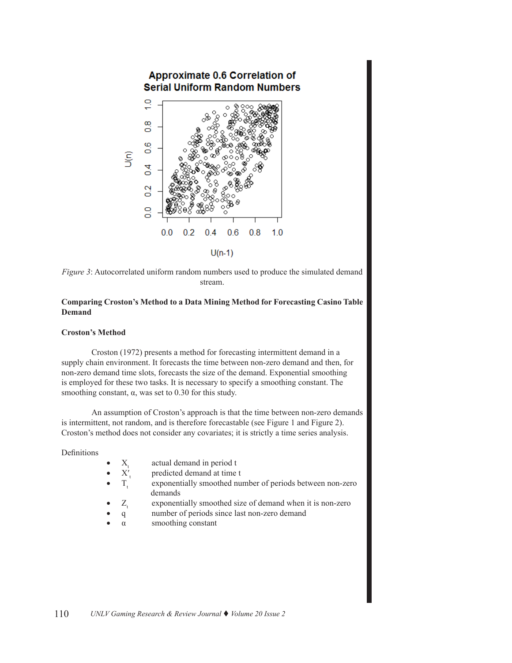

*Figure 3*: Autocorrelated uniform random numbers used to produce the simulated demand stream.

# **Comparing Croston's Method to a Data Mining Method for Forecasting Casino Table Demand**

# **Croston's Method**

Croston (1972) presents a method for forecasting intermittent demand in a supply chain environment. It forecasts the time between non-zero demand and then, for non-zero demand time slots, forecasts the size of the demand. Exponential smoothing is employed for these two tasks. It is necessary to specify a smoothing constant. The smoothing constant,  $\alpha$ , was set to 0.30 for this study.

An assumption of Croston's approach is that the time between non-zero demands is intermittent, not random, and is therefore forecastable (see Figure 1 and Figure 2). Croston's method does not consider any covariates; it is strictly a time series analysis.

Definitions

|  |  | actual demand in period t |
|--|--|---------------------------|
|--|--|---------------------------|

- 
- $X'_t$  predicted demand at time t<br>T<sub>,</sub> exponentially smoothed nu exponentially smoothed number of periods between non-zero demands
- $Z_t$  exponentially smoothed size of demand when it is non-zero
- q number of periods since last non-zero demand
- $\alpha$  smoothing constant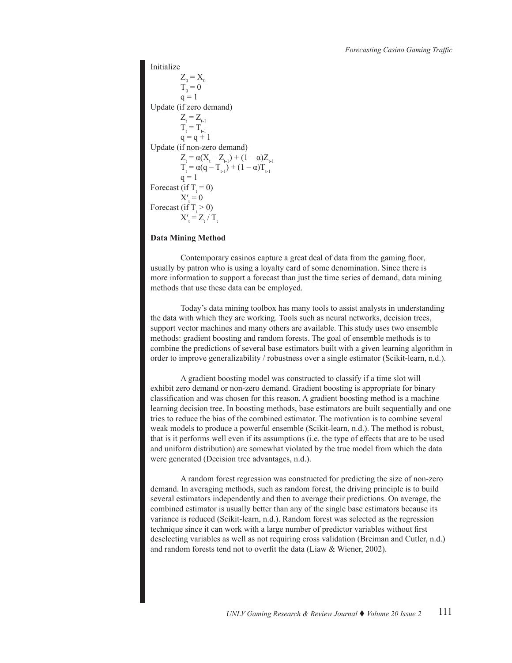```
Initialize
Z_0 = X_0T_{0} = 0q = 1Update (if zero demand)
Z_{t} = Z_{t-1}T_{t} = T_{t-1}q = q + 1Update (if non-zero demand)
Z_{t} = \alpha (X_{t} - Z_{t-1}) + (1 - \alpha) Z_{t-1}T_t = \alpha (q - T_{t-1}) + (1 - \alpha) T_{t-1}q = 1Forecast (if T_t = 0)
X'_t = 0Forecast (if T_t > 0)
X'_t = Z'_t / T_t
```
## **Data Mining Method**

Contemporary casinos capture a great deal of data from the gaming floor, usually by patron who is using a loyalty card of some denomination. Since there is more information to support a forecast than just the time series of demand, data mining methods that use these data can be employed.

Today's data mining toolbox has many tools to assist analysts in understanding the data with which they are working. Tools such as neural networks, decision trees, support vector machines and many others are available. This study uses two ensemble methods: gradient boosting and random forests. The goal of ensemble methods is to combine the predictions of several base estimators built with a given learning algorithm in order to improve generalizability / robustness over a single estimator (Scikit-learn, n.d.).

A gradient boosting model was constructed to classify if a time slot will exhibit zero demand or non-zero demand. Gradient boosting is appropriate for binary classification and was chosen for this reason. A gradient boosting method is a machine learning decision tree. In boosting methods, base estimators are built sequentially and one tries to reduce the bias of the combined estimator. The motivation is to combine several weak models to produce a powerful ensemble (Scikit-learn, n.d.). The method is robust, that is it performs well even if its assumptions (i.e. the type of effects that are to be used and uniform distribution) are somewhat violated by the true model from which the data were generated (Decision tree advantages, n.d.).

A random forest regression was constructed for predicting the size of non-zero demand. In averaging methods, such as random forest, the driving principle is to build several estimators independently and then to average their predictions. On average, the combined estimator is usually better than any of the single base estimators because its variance is reduced (Scikit-learn, n.d.). Random forest was selected as the regression technique since it can work with a large number of predictor variables without first deselecting variables as well as not requiring cross validation (Breiman and Cutler, n.d.) and random forests tend not to overfit the data (Liaw & Wiener, 2002).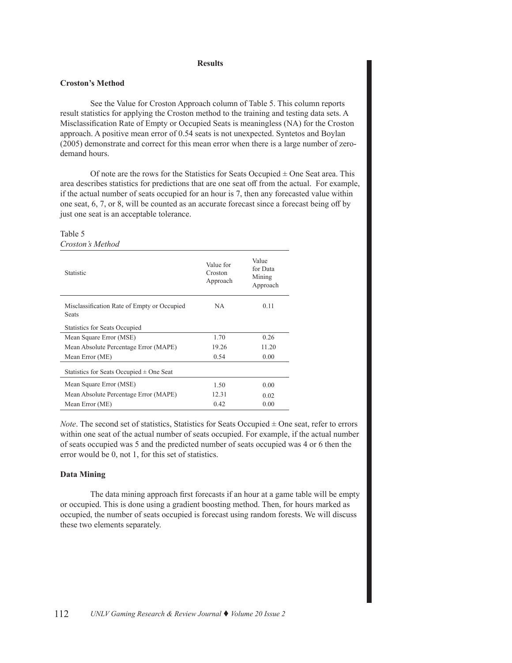#### **Results**

# **Croston's Method**

See the Value for Croston Approach column of Table 5. This column reports result statistics for applying the Croston method to the training and testing data sets. A Misclassification Rate of Empty or Occupied Seats is meaningless (NA) for the Croston approach. A positive mean error of 0.54 seats is not unexpected. Syntetos and Boylan (2005) demonstrate and correct for this mean error when there is a large number of zerodemand hours.

Of note are the rows for the Statistics for Seats Occupied  $\pm$  One Seat area. This area describes statistics for predictions that are one seat off from the actual. For example, if the actual number of seats occupied for an hour is 7, then any forecasted value within one seat, 6, 7, or 8, will be counted as an accurate forecast since a forecast being off by just one seat is an acceptable tolerance.

#### Table 5 *Croston's Method*

| Statistic                                                   | Value for<br>Croston<br>Approach | Value<br>for Data<br>Mining<br>Approach |
|-------------------------------------------------------------|----------------------------------|-----------------------------------------|
| Misclassification Rate of Empty or Occupied<br><b>Seats</b> | NA.                              | 0.11                                    |
| <b>Statistics for Seats Occupied</b>                        |                                  |                                         |
| Mean Square Error (MSE)                                     | 1.70                             | 0.26                                    |
| Mean Absolute Percentage Error (MAPE)                       | 19.26                            | 11.20                                   |
| Mean Error (ME)                                             | 0.54                             | 0.00                                    |
| Statistics for Seats Occupied $\pm$ One Seat                |                                  |                                         |
| Mean Square Error (MSE)                                     | 1.50                             | 0.00                                    |
| Mean Absolute Percentage Error (MAPE)                       | 12.31                            | 0.02                                    |
| Mean Error (ME)                                             | 0.42                             | 0.00                                    |

*Note*. The second set of statistics, Statistics for Seats Occupied  $\pm$  One seat, refer to errors within one seat of the actual number of seats occupied. For example, if the actual number of seats occupied was 5 and the predicted number of seats occupied was 4 or 6 then the error would be 0, not 1, for this set of statistics.

#### **Data Mining**

The data mining approach first forecasts if an hour at a game table will be empty or occupied. This is done using a gradient boosting method. Then, for hours marked as occupied, the number of seats occupied is forecast using random forests. We will discuss these two elements separately.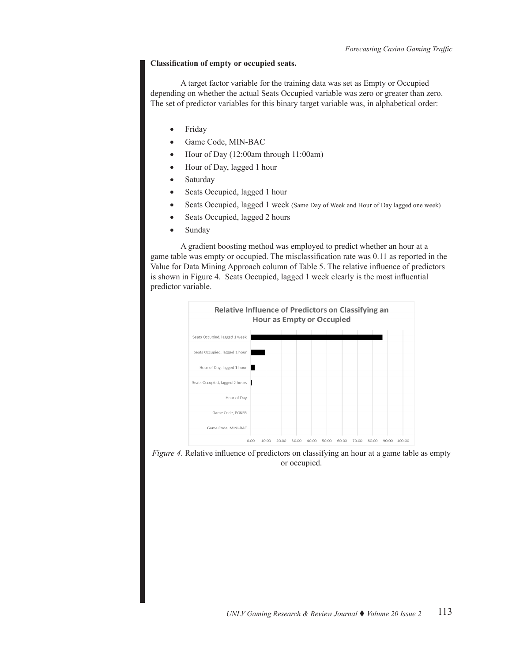## **Classification of empty or occupied seats.**

A target factor variable for the training data was set as Empty or Occupied depending on whether the actual Seats Occupied variable was zero or greater than zero. The set of predictor variables for this binary target variable was, in alphabetical order:

- • Friday
- Game Code, MIN-BAC
- Hour of Day (12:00am through 11:00am)
- Hour of Day, lagged 1 hour
- Saturday
- Seats Occupied, lagged 1 hour
- Seats Occupied, lagged 1 week (Same Day of Week and Hour of Day lagged one week)
- Seats Occupied, lagged 2 hours
- Sunday

A gradient boosting method was employed to predict whether an hour at a game table was empty or occupied. The misclassification rate was 0.11 as reported in the Value for Data Mining Approach column of Table 5. The relative influence of predictors is shown in Figure 4. Seats Occupied, lagged 1 week clearly is the most influential predictor variable.



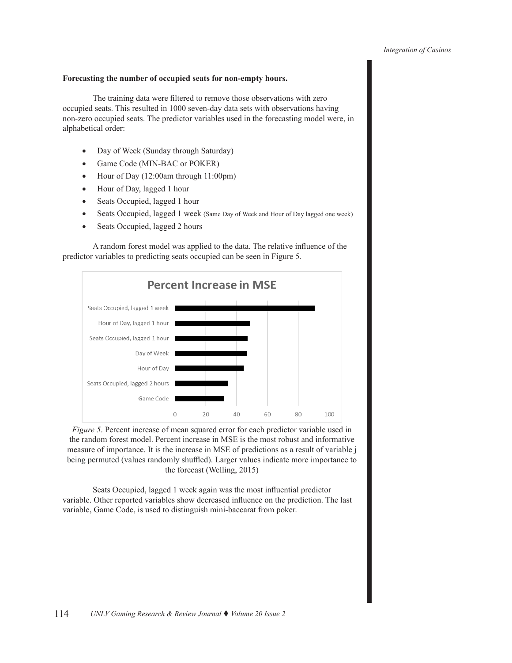# **Forecasting the number of occupied seats for non-empty hours.**

The training data were filtered to remove those observations with zero occupied seats. This resulted in 1000 seven-day data sets with observations having non-zero occupied seats. The predictor variables used in the forecasting model were, in alphabetical order:

- • Day of Week (Sunday through Saturday)
- Game Code (MIN-BAC or POKER)
- Hour of Day  $(12:00am$  through  $11:00pm$ )
- • Hour of Day, lagged 1 hour
- Seats Occupied, lagged 1 hour
- Seats Occupied, lagged 1 week (Same Day of Week and Hour of Day lagged one week)
- Seats Occupied, lagged 2 hours

A random forest model was applied to the data. The relative influence of the predictor variables to predicting seats occupied can be seen in Figure 5.



*Figure 5*. Percent increase of mean squared error for each predictor variable used in the random forest model. Percent increase in MSE is the most robust and informative measure of importance. It is the increase in MSE of predictions as a result of variable j being permuted (values randomly shuffled). Larger values indicate more importance to the forecast (Welling, 2015)

Seats Occupied, lagged 1 week again was the most influential predictor variable. Other reported variables show decreased influence on the prediction. The last variable, Game Code, is used to distinguish mini-baccarat from poker.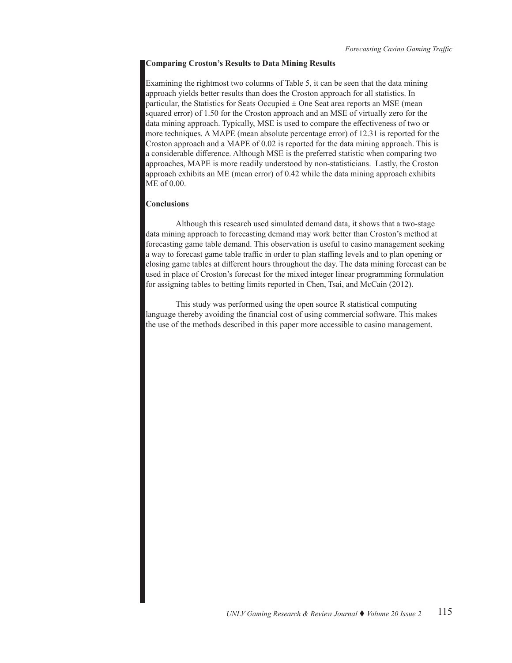# **Comparing Croston's Results to Data Mining Results**

Examining the rightmost two columns of Table 5, it can be seen that the data mining approach yields better results than does the Croston approach for all statistics. In particular, the Statistics for Seats Occupied  $\pm$  One Seat area reports an MSE (mean squared error) of 1.50 for the Croston approach and an MSE of virtually zero for the data mining approach. Typically, MSE is used to compare the effectiveness of two or more techniques. A MAPE (mean absolute percentage error) of 12.31 is reported for the Croston approach and a MAPE of 0.02 is reported for the data mining approach. This is a considerable difference. Although MSE is the preferred statistic when comparing two approaches, MAPE is more readily understood by non-statisticians. Lastly, the Croston approach exhibits an ME (mean error) of 0.42 while the data mining approach exhibits ME of 0.00.

#### **Conclusions**

Although this research used simulated demand data, it shows that a two-stage data mining approach to forecasting demand may work better than Croston's method at forecasting game table demand. This observation is useful to casino management seeking a way to forecast game table traffic in order to plan staffing levels and to plan opening or closing game tables at different hours throughout the day. The data mining forecast can be used in place of Croston's forecast for the mixed integer linear programming formulation for assigning tables to betting limits reported in Chen, Tsai, and McCain (2012).

This study was performed using the open source R statistical computing language thereby avoiding the financial cost of using commercial software. This makes the use of the methods described in this paper more accessible to casino management.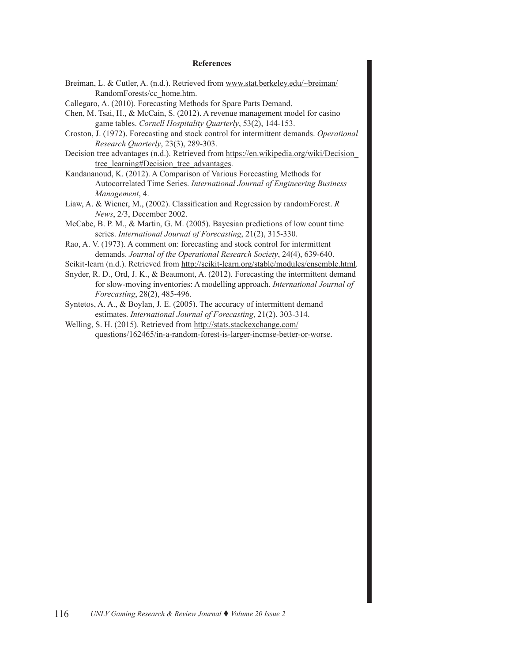#### **References**

- Breiman, L. & Cutler, A. (n.d.). Retrieved from [www.stat.berkeley.edu/~breiman/](www.stat.berkeley.edu/~breiman/RandomForests/cc_home.htm) [RandomForests/cc\\_home.htm](www.stat.berkeley.edu/~breiman/RandomForests/cc_home.htm).
- Callegaro, A. (2010). Forecasting Methods for Spare Parts Demand.
- Chen, M. Tsai, H., & McCain, S. (2012). A revenue management model for casino game tables. *Cornell Hospitality Quarterly*, 53(2), 144-153.
- Croston, J. (1972). Forecasting and stock control for intermittent demands. *Operational Research Quarterly*, 23(3), 289-303.
- Decision tree advantages (n.d.). Retrieved from [https://en.wikipedia.org/wiki/Decision\\_](https://en.wikipedia.org/wiki/Decision_tree_learning#Decision_tree_advantages) [tree\\_learning#Decision\\_tree\\_advantages](https://en.wikipedia.org/wiki/Decision_tree_learning#Decision_tree_advantages).
- Kandananoud, K. (2012). A Comparison of Various Forecasting Methods for Autocorrelated Time Series. *International Journal of Engineering Business Management*, 4.
- Liaw, A. & Wiener, M., (2002). Classification and Regression by randomForest. *R News*, 2/3, December 2002.
- McCabe, B. P. M., & Martin, G. M. (2005). Bayesian predictions of low count time series. *International Journal of Forecasting*, 21(2), 315-330.
- Rao, A. V. (1973). A comment on: forecasting and stock control for intermittent demands. *Journal of the Operational Research Society*, 24(4), 639-640.
- Scikit-learn (n.d.). Retrieved from <http://scikit-learn.org/stable/modules/ensemble.html>.
- Snyder, R. D., Ord, J. K., & Beaumont, A. (2012). Forecasting the intermittent demand for slow-moving inventories: A modelling approach. *International Journal of Forecasting*, 28(2), 485-496.
- Syntetos, A. A., & Boylan, J. E. (2005). The accuracy of intermittent demand estimates. *International Journal of Forecasting*, 21(2), 303-314.
- Welling, S. H. (2015). Retrieved from [http://stats.stackexchange.com/](http://stats.stackexchange.com/questions/162465/in-a-random-forest-is-larger-incmse-better-or-worse) [questions/162465/in-a-random-forest-is-larger-incmse-better-or-worse](http://stats.stackexchange.com/questions/162465/in-a-random-forest-is-larger-incmse-better-or-worse).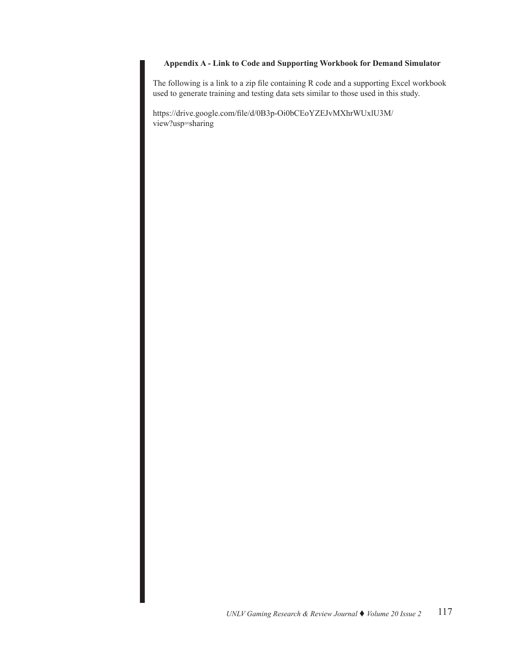# **Appendix A - Link to Code and Supporting Workbook for Demand Simulator**

The following is a link to a zip file containing R code and a supporting Excel workbook used to generate training and testing data sets similar to those used in this study.

https://drive.google.com/file/d/0B3p-Oi0bCEoYZEJvMXhrWUxlU3M/ view?usp=sharing